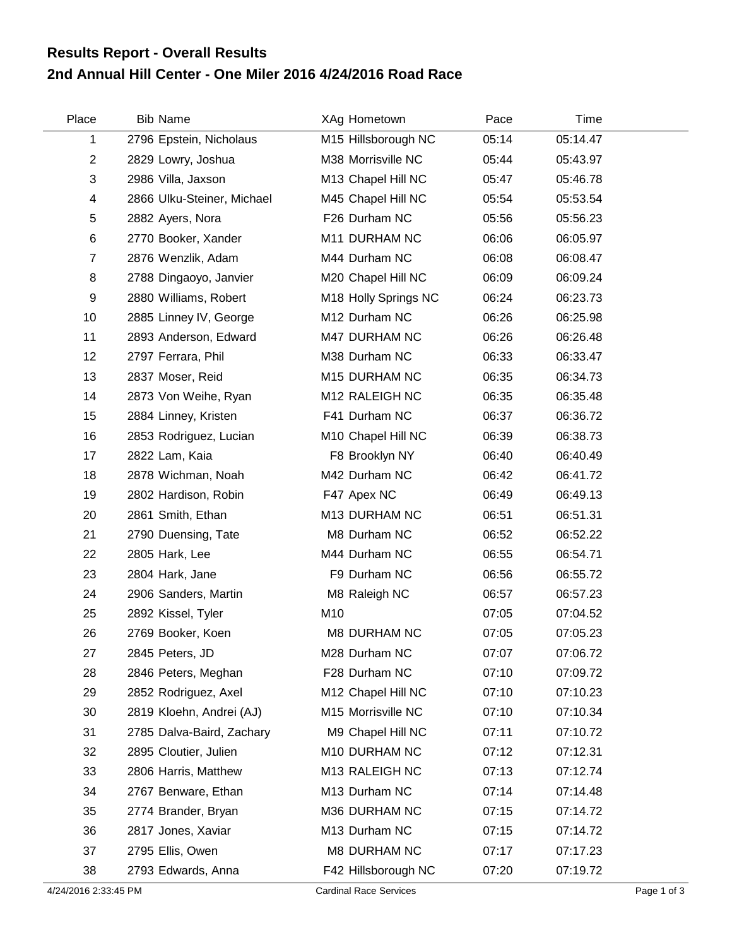## **2nd Annual Hill Center - One Miler 2016 4/24/2016 Road Race Results Report - Overall Results**

| Place          | <b>Bib Name</b>            | XAg Hometown         | Pace  | Time     |  |
|----------------|----------------------------|----------------------|-------|----------|--|
| 1              | 2796 Epstein, Nicholaus    | M15 Hillsborough NC  | 05:14 | 05:14.47 |  |
| $\overline{2}$ | 2829 Lowry, Joshua         | M38 Morrisville NC   | 05:44 | 05:43.97 |  |
| 3              | 2986 Villa, Jaxson         | M13 Chapel Hill NC   | 05:47 | 05:46.78 |  |
| 4              | 2866 Ulku-Steiner, Michael | M45 Chapel Hill NC   | 05:54 | 05:53.54 |  |
| 5              | 2882 Ayers, Nora           | F26 Durham NC        | 05:56 | 05:56.23 |  |
| 6              | 2770 Booker, Xander        | M11 DURHAM NC        | 06:06 | 06:05.97 |  |
| $\overline{7}$ | 2876 Wenzlik, Adam         | M44 Durham NC        | 06:08 | 06:08.47 |  |
| 8              | 2788 Dingaoyo, Janvier     | M20 Chapel Hill NC   | 06:09 | 06:09.24 |  |
| 9              | 2880 Williams, Robert      | M18 Holly Springs NC | 06:24 | 06:23.73 |  |
| 10             | 2885 Linney IV, George     | M12 Durham NC        | 06:26 | 06:25.98 |  |
| 11             | 2893 Anderson, Edward      | M47 DURHAM NC        | 06:26 | 06:26.48 |  |
| 12             | 2797 Ferrara, Phil         | M38 Durham NC        | 06:33 | 06:33.47 |  |
| 13             | 2837 Moser, Reid           | M15 DURHAM NC        | 06:35 | 06:34.73 |  |
| 14             | 2873 Von Weihe, Ryan       | M12 RALEIGH NC       | 06:35 | 06:35.48 |  |
| 15             | 2884 Linney, Kristen       | F41 Durham NC        | 06:37 | 06:36.72 |  |
| 16             | 2853 Rodriguez, Lucian     | M10 Chapel Hill NC   | 06:39 | 06:38.73 |  |
| 17             | 2822 Lam, Kaia             | F8 Brooklyn NY       | 06:40 | 06:40.49 |  |
| 18             | 2878 Wichman, Noah         | M42 Durham NC        | 06:42 | 06:41.72 |  |
| 19             | 2802 Hardison, Robin       | F47 Apex NC          | 06:49 | 06:49.13 |  |
| 20             | 2861 Smith, Ethan          | M13 DURHAM NC        | 06:51 | 06:51.31 |  |
| 21             | 2790 Duensing, Tate        | M8 Durham NC         | 06:52 | 06:52.22 |  |
| 22             | 2805 Hark, Lee             | M44 Durham NC        | 06:55 | 06:54.71 |  |
| 23             | 2804 Hark, Jane            | F9 Durham NC         | 06:56 | 06:55.72 |  |
| 24             | 2906 Sanders, Martin       | M8 Raleigh NC        | 06:57 | 06:57.23 |  |
| 25             | 2892 Kissel, Tyler         | M10                  | 07:05 | 07:04.52 |  |
| 26             | 2769 Booker, Koen          | <b>M8 DURHAM NC</b>  | 07:05 | 07:05.23 |  |
| 27             | 2845 Peters, JD            | M28 Durham NC        | 07:07 | 07:06.72 |  |
| 28             | 2846 Peters, Meghan        | F28 Durham NC        | 07:10 | 07:09.72 |  |
| 29             | 2852 Rodriguez, Axel       | M12 Chapel Hill NC   | 07:10 | 07:10.23 |  |
| 30             | 2819 Kloehn, Andrei (AJ)   | M15 Morrisville NC   | 07:10 | 07:10.34 |  |
| 31             | 2785 Dalva-Baird, Zachary  | M9 Chapel Hill NC    | 07:11 | 07:10.72 |  |
| 32             | 2895 Cloutier, Julien      | M10 DURHAM NC        | 07:12 | 07:12.31 |  |
| 33             | 2806 Harris, Matthew       | M13 RALEIGH NC       | 07:13 | 07:12.74 |  |
| 34             | 2767 Benware, Ethan        | M13 Durham NC        | 07:14 | 07:14.48 |  |
| 35             | 2774 Brander, Bryan        | M36 DURHAM NC        | 07:15 | 07:14.72 |  |
| 36             | 2817 Jones, Xaviar         | M13 Durham NC        | 07:15 | 07:14.72 |  |
| 37             | 2795 Ellis, Owen           | M8 DURHAM NC         | 07:17 | 07:17.23 |  |
| 38             | 2793 Edwards, Anna         | F42 Hillsborough NC  | 07:20 | 07:19.72 |  |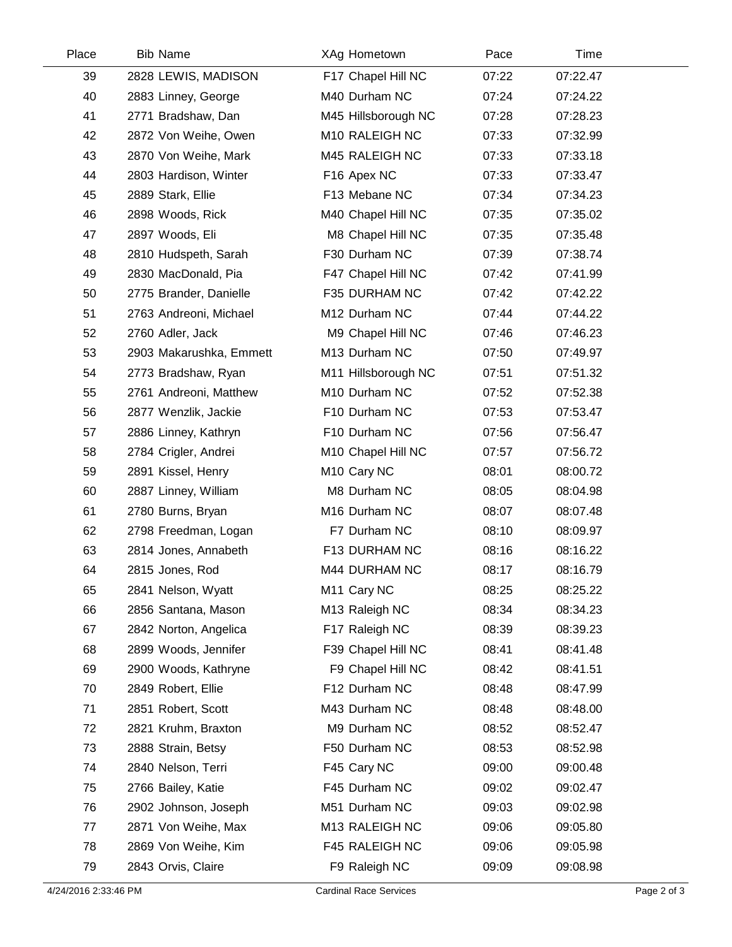| Place | <b>Bib Name</b>         | XAg Hometown            | Pace  | Time     |  |
|-------|-------------------------|-------------------------|-------|----------|--|
| 39    | 2828 LEWIS, MADISON     | F17 Chapel Hill NC      | 07:22 | 07:22.47 |  |
| 40    | 2883 Linney, George     | M40 Durham NC           | 07:24 | 07:24.22 |  |
| 41    | 2771 Bradshaw, Dan      | M45 Hillsborough NC     | 07:28 | 07:28.23 |  |
| 42    | 2872 Von Weihe, Owen    | M10 RALEIGH NC          | 07:33 | 07:32.99 |  |
| 43    | 2870 Von Weihe, Mark    | M45 RALEIGH NC          | 07:33 | 07:33.18 |  |
| 44    | 2803 Hardison, Winter   | F16 Apex NC             | 07:33 | 07:33.47 |  |
| 45    | 2889 Stark, Ellie       | F13 Mebane NC           | 07:34 | 07:34.23 |  |
| 46    | 2898 Woods, Rick        | M40 Chapel Hill NC      | 07:35 | 07:35.02 |  |
| 47    | 2897 Woods, Eli         | M8 Chapel Hill NC       | 07:35 | 07:35.48 |  |
| 48    | 2810 Hudspeth, Sarah    | F30 Durham NC           | 07:39 | 07:38.74 |  |
| 49    | 2830 MacDonald, Pia     | F47 Chapel Hill NC      | 07:42 | 07:41.99 |  |
| 50    | 2775 Brander, Danielle  | F35 DURHAM NC           | 07:42 | 07:42.22 |  |
| 51    | 2763 Andreoni, Michael  | M12 Durham NC           | 07:44 | 07:44.22 |  |
| 52    | 2760 Adler, Jack        | M9 Chapel Hill NC       | 07:46 | 07:46.23 |  |
| 53    | 2903 Makarushka, Emmett | M13 Durham NC           | 07:50 | 07:49.97 |  |
| 54    | 2773 Bradshaw, Ryan     | M11 Hillsborough NC     | 07:51 | 07:51.32 |  |
| 55    | 2761 Andreoni, Matthew  | M10 Durham NC           | 07:52 | 07:52.38 |  |
| 56    | 2877 Wenzlik, Jackie    | F10 Durham NC           | 07:53 | 07:53.47 |  |
| 57    | 2886 Linney, Kathryn    | F10 Durham NC           | 07:56 | 07:56.47 |  |
| 58    | 2784 Crigler, Andrei    | M10 Chapel Hill NC      | 07:57 | 07:56.72 |  |
| 59    | 2891 Kissel, Henry      | M <sub>10</sub> Cary NC | 08:01 | 08:00.72 |  |
| 60    | 2887 Linney, William    | M8 Durham NC            | 08:05 | 08:04.98 |  |
| 61    | 2780 Burns, Bryan       | M16 Durham NC           | 08:07 | 08:07.48 |  |
| 62    | 2798 Freedman, Logan    | F7 Durham NC            | 08:10 | 08:09.97 |  |
| 63    | 2814 Jones, Annabeth    | F13 DURHAM NC           | 08:16 | 08:16.22 |  |
| 64    | 2815 Jones, Rod         | M44 DURHAM NC           | 08:17 | 08:16.79 |  |
| 65    | 2841 Nelson, Wyatt      | M11 Cary NC             | 08:25 | 08:25.22 |  |
| 66    | 2856 Santana, Mason     | M13 Raleigh NC          | 08:34 | 08:34.23 |  |
| 67    | 2842 Norton, Angelica   | F17 Raleigh NC          | 08:39 | 08:39.23 |  |
| 68    | 2899 Woods, Jennifer    | F39 Chapel Hill NC      | 08:41 | 08:41.48 |  |
| 69    | 2900 Woods, Kathryne    | F9 Chapel Hill NC       | 08:42 | 08:41.51 |  |
| 70    | 2849 Robert, Ellie      | F12 Durham NC           | 08:48 | 08:47.99 |  |
| 71    | 2851 Robert, Scott      | M43 Durham NC           | 08:48 | 08:48.00 |  |
| 72    | 2821 Kruhm, Braxton     | M9 Durham NC            | 08:52 | 08:52.47 |  |
| 73    | 2888 Strain, Betsy      | F50 Durham NC           | 08:53 | 08:52.98 |  |
| 74    | 2840 Nelson, Terri      | F45 Cary NC             | 09:00 | 09:00.48 |  |
| 75    | 2766 Bailey, Katie      | F45 Durham NC           | 09:02 | 09:02.47 |  |
| 76    | 2902 Johnson, Joseph    | M51 Durham NC           | 09:03 | 09:02.98 |  |
| 77    | 2871 Von Weihe, Max     | M13 RALEIGH NC          | 09:06 | 09:05.80 |  |
| 78    | 2869 Von Weihe, Kim     | F45 RALEIGH NC          | 09:06 | 09:05.98 |  |
| 79    | 2843 Orvis, Claire      | F9 Raleigh NC           | 09:09 | 09:08.98 |  |